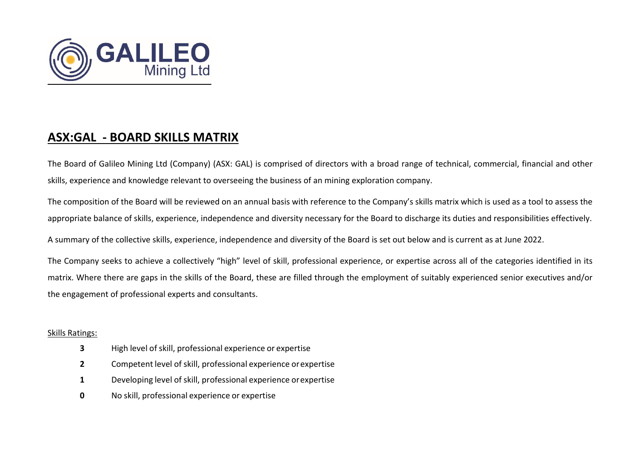

## **ASX:GAL ‐ BOARD SKILLS MATRIX**

The Board of Galileo Mining Ltd (Company) (ASX: GAL) is comprised of directors with <sup>a</sup> broad range of technical, commercial, financial and other skills, experience and knowledge relevant to overseeing the business of an mining exploration company.

The composition of the Board will be reviewed on an annual basis with reference to the Company's skills matrix which is used as <sup>a</sup> tool to assess the appropriate balance of skills, experience, independence and diversity necessary for the Board to discharge its duties and responsibilities effectively.

A summary of the collective skills, experience, independence and diversity of the Board is set out below and is current as at June 2022.

The Company seeks to achieve <sup>a</sup> collectively "high" level of skill, professional experience, or expertise across all of the categories identified in its matrix. Where there are gaps in the skills of the Board, these are filled through the employment of suitably experienced senior executives and/or the engagement of professional experts and consultants.

## Skills Ratings:

- **3**High level of skill, professional experience or expertise
- **2**Competent level of skill, professional experience orexpertise
- **1**Developing level of skill, professional experience orexpertise
- **00** No skill, professional experience or expertise